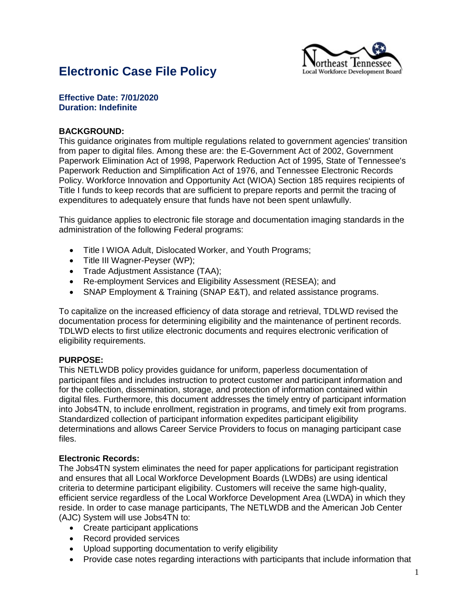

# **Electronic Case File Policy**

#### **Effective Date: 7/01/2020 Duration: Indefinite**

#### **BACKGROUND:**

This guidance originates from multiple regulations related to government agencies' transition from paper to digital files. Among these are: the E-Government Act of 2002, Government Paperwork Elimination Act of 1998, Paperwork Reduction Act of 1995, State of Tennessee's Paperwork Reduction and Simplification Act of 1976, and Tennessee Electronic Records Policy. Workforce Innovation and Opportunity Act (WIOA) Section 185 requires recipients of Title I funds to keep records that are sufficient to prepare reports and permit the tracing of expenditures to adequately ensure that funds have not been spent unlawfully.

This guidance applies to electronic file storage and documentation imaging standards in the administration of the following Federal programs:

- Title I WIOA Adult, Dislocated Worker, and Youth Programs;
- Title III Wagner-Peyser (WP);
- Trade Adjustment Assistance (TAA);
- Re-employment Services and Eligibility Assessment (RESEA); and
- SNAP Employment & Training (SNAP E&T), and related assistance programs.

To capitalize on the increased efficiency of data storage and retrieval, TDLWD revised the documentation process for determining eligibility and the maintenance of pertinent records. TDLWD elects to first utilize electronic documents and requires electronic verification of eligibility requirements.

#### **PURPOSE:**

This NETLWDB policy provides guidance for uniform, paperless documentation of participant files and includes instruction to protect customer and participant information and for the collection, dissemination, storage, and protection of information contained within digital files. Furthermore, this document addresses the timely entry of participant information into Jobs4TN, to include enrollment, registration in programs, and timely exit from programs. Standardized collection of participant information expedites participant eligibility determinations and allows Career Service Providers to focus on managing participant case files.

#### **Electronic Records:**

The Jobs4TN system eliminates the need for paper applications for participant registration and ensures that all Local Workforce Development Boards (LWDBs) are using identical criteria to determine participant eligibility. Customers will receive the same high-quality, efficient service regardless of the Local Workforce Development Area (LWDA) in which they reside. In order to case manage participants, The NETLWDB and the American Job Center (AJC) System will use Jobs4TN to:

- Create participant applications
- Record provided services
- Upload supporting documentation to verify eligibility
- Provide case notes regarding interactions with participants that include information that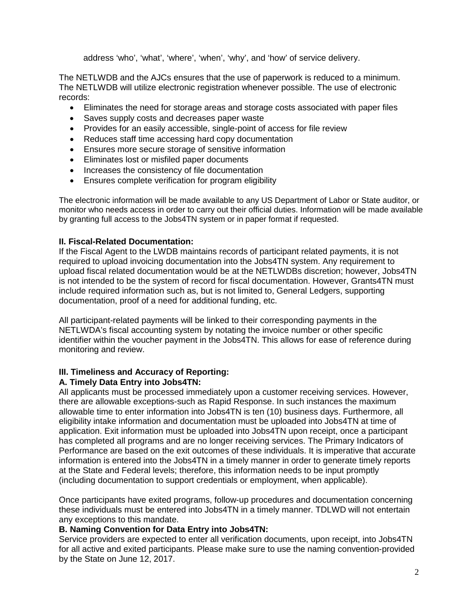address 'who', 'what', 'where', 'when', 'why', and 'how' of service delivery.

The NETLWDB and the AJCs ensures that the use of paperwork is reduced to a minimum. The NETLWDB will utilize electronic registration whenever possible. The use of electronic records:

- Eliminates the need for storage areas and storage costs associated with paper files
- Saves supply costs and decreases paper waste
- Provides for an easily accessible, single-point of access for file review
- Reduces staff time accessing hard copy documentation
- Ensures more secure storage of sensitive information
- Eliminates lost or misfiled paper documents
- Increases the consistency of file documentation
- Ensures complete verification for program eligibility

The electronic information will be made available to any US Department of Labor or State auditor, or monitor who needs access in order to carry out their official duties. Information will be made available by granting full access to the Jobs4TN system or in paper format if requested.

#### **II. Fiscal-Related Documentation:**

If the Fiscal Agent to the LWDB maintains records of participant related payments, it is not required to upload invoicing documentation into the Jobs4TN system. Any requirement to upload fiscal related documentation would be at the NETLWDBs discretion; however, Jobs4TN is not intended to be the system of record for fiscal documentation. However, Grants4TN must include required information such as, but is not limited to, General Ledgers, supporting documentation, proof of a need for additional funding, etc.

All participant-related payments will be linked to their corresponding payments in the NETLWDA's fiscal accounting system by notating the invoice number or other specific identifier within the voucher payment in the Jobs4TN. This allows for ease of reference during monitoring and review.

#### **III. Timeliness and Accuracy of Reporting:**

#### **A. Timely Data Entry into Jobs4TN:**

All applicants must be processed immediately upon a customer receiving services. However, there are allowable exceptions-such as Rapid Response. In such instances the maximum allowable time to enter information into Jobs4TN is ten (10) business days. Furthermore, all eligibility intake information and documentation must be uploaded into Jobs4TN at time of application. Exit information must be uploaded into Jobs4TN upon receipt, once a participant has completed all programs and are no longer receiving services. The Primary Indicators of Performance are based on the exit outcomes of these individuals. It is imperative that accurate information is entered into the Jobs4TN in a timely manner in order to generate timely reports at the State and Federal levels; therefore, this information needs to be input promptly (including documentation to support credentials or employment, when applicable).

Once participants have exited programs, follow-up procedures and documentation concerning these individuals must be entered into Jobs4TN in a timely manner. TDLWD will not entertain any exceptions to this mandate.

#### **B. Naming Convention for Data Entry into Jobs4TN:**

Service providers are expected to enter all verification documents, upon receipt, into Jobs4TN for all active and exited participants. Please make sure to use the naming convention-provided by the State on June 12, 2017.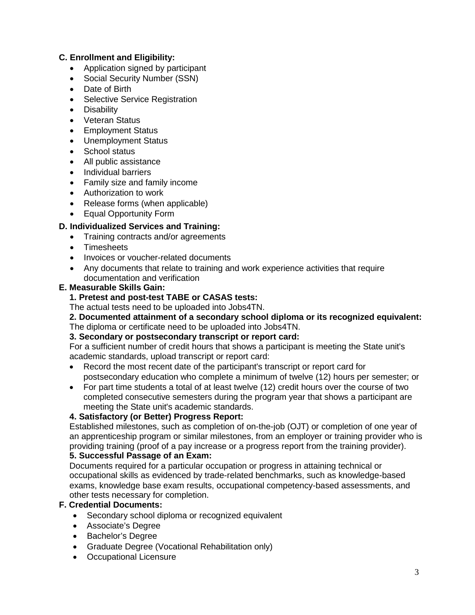# **C. Enrollment and Eligibility:**

- Application signed by participant
- Social Security Number (SSN)
- Date of Birth
- Selective Service Registration
- Disability
- Veteran Status
- Employment Status
- Unemployment Status
- School status
- All public assistance
- Individual barriers
- Family size and family income
- Authorization to work
- Release forms (when applicable)
- Equal Opportunity Form

# **D. Individualized Services and Training:**

- Training contracts and/or agreements
- **Timesheets**
- Invoices or voucher-related documents
- Any documents that relate to training and work experience activities that require documentation and verification

#### **E. Measurable Skills Gain:**

## **1. Pretest and post-test TABE or CASAS tests:**

The actual tests need to be uploaded into Jobs4TN.

**2. Documented attainment of a secondary school diploma or its recognized equivalent:** The diploma or certificate need to be uploaded into Jobs4TN.

#### **3. Secondary or postsecondary transcript or report card:**

For a sufficient number of credit hours that shows a participant is meeting the State unit's academic standards, upload transcript or report card:

- Record the most recent date of the participant's transcript or report card for postsecondary education who complete a minimum of twelve (12) hours per semester; or
- For part time students a total of at least twelve (12) credit hours over the course of two completed consecutive semesters during the program year that shows a participant are meeting the State unit's academic standards.

# **4. Satisfactory (or Better) Progress Report:**

Established milestones, such as completion of on-the-job (OJT) or completion of one year of an apprenticeship program or similar milestones, from an employer or training provider who is providing training (proof of a pay increase or a progress report from the training provider).

#### **5. Successful Passage of an Exam:**

Documents required for a particular occupation or progress in attaining technical or occupational skills as evidenced by trade-related benchmarks, such as knowledge-based exams, knowledge base exam results, occupational competency-based assessments, and other tests necessary for completion.

#### **F. Credential Documents:**

- Secondary school diploma or recognized equivalent
- Associate's Degree
- Bachelor's Degree
- Graduate Degree (Vocational Rehabilitation only)
- Occupational Licensure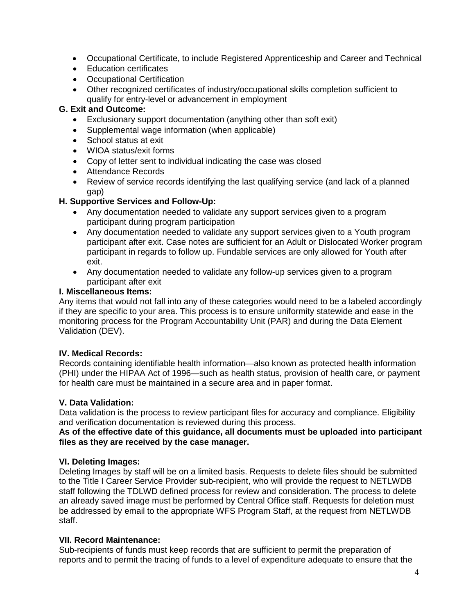- Occupational Certificate, to include Registered Apprenticeship and Career and Technical
- Education certificates
- Occupational Certification
- Other recognized certificates of industry/occupational skills completion sufficient to qualify for entry-level or advancement in employment

## **G. Exit and Outcome:**

- Exclusionary support documentation (anything other than soft exit)
- Supplemental wage information (when applicable)
- School status at exit
- WIOA status/exit forms
- Copy of letter sent to individual indicating the case was closed
- Attendance Records
- Review of service records identifying the last qualifying service (and lack of a planned gap)

## **H. Supportive Services and Follow-Up:**

- Any documentation needed to validate any support services given to a program participant during program participation
- Any documentation needed to validate any support services given to a Youth program participant after exit. Case notes are sufficient for an Adult or Dislocated Worker program participant in regards to follow up. Fundable services are only allowed for Youth after exit.
- Any documentation needed to validate any follow-up services given to a program participant after exit

#### **I. Miscellaneous Items:**

Any items that would not fall into any of these categories would need to be a labeled accordingly if they are specific to your area. This process is to ensure uniformity statewide and ease in the monitoring process for the Program Accountability Unit (PAR) and during the Data Element Validation (DEV).

#### **IV. Medical Records:**

Records containing identifiable health information—also known as protected health information (PHI) under the HIPAA Act of 1996—such as health status, provision of health care, or payment for health care must be maintained in a secure area and in paper format.

#### **V. Data Validation:**

Data validation is the process to review participant files for accuracy and compliance. Eligibility and verification documentation is reviewed during this process.

#### **As of the effective date of this guidance, all documents must be uploaded into participant files as they are received by the case manager.**

#### **VI. Deleting Images:**

Deleting Images by staff will be on a limited basis. Requests to delete files should be submitted to the Title I Career Service Provider sub-recipient, who will provide the request to NETLWDB staff following the TDLWD defined process for review and consideration. The process to delete an already saved image must be performed by Central Office staff. Requests for deletion must be addressed by email to the appropriate WFS Program Staff, at the request from NETLWDB staff.

#### **VII. Record Maintenance:**

Sub-recipients of funds must keep records that are sufficient to permit the preparation of reports and to permit the tracing of funds to a level of expenditure adequate to ensure that the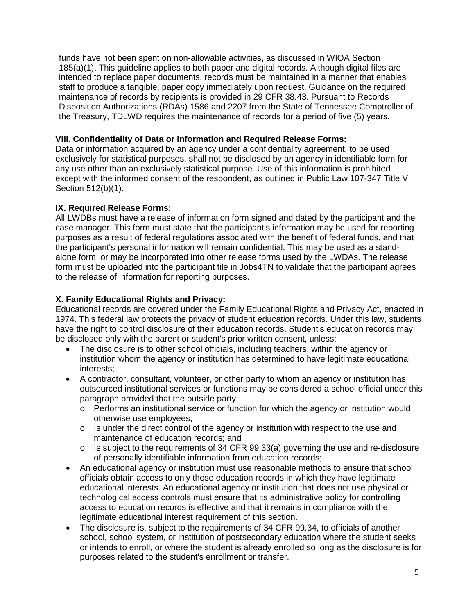funds have not been spent on non-allowable activities, as discussed in WIOA Section 185(a)(1). This guideline applies to both paper and digital records. Although digital files are intended to replace paper documents, records must be maintained in a manner that enables staff to produce a tangible, paper copy immediately upon request. Guidance on the required maintenance of records by recipients is provided in 29 CFR 38.43. Pursuant to Records Disposition Authorizations (RDAs) 1586 and 2207 from the State of Tennessee Comptroller of the Treasury, TDLWD requires the maintenance of records for a period of five (5) years.

## **VIII. Confidentiality of Data or Information and Required Release Forms:**

Data or information acquired by an agency under a confidentiality agreement, to be used exclusively for statistical purposes, shall not be disclosed by an agency in identifiable form for any use other than an exclusively statistical purpose. Use of this information is prohibited except with the informed consent of the respondent, as outlined in Public Law 107-347 Title V Section 512(b)(1).

## **IX. Required Release Forms:**

All LWDBs must have a release of information form signed and dated by the participant and the case manager. This form must state that the participant's information may be used for reporting purposes as a result of federal regulations associated with the benefit of federal funds, and that the participant's personal information will remain confidential. This may be used as a standalone form, or may be incorporated into other release forms used by the LWDAs. The release form must be uploaded into the participant file in Jobs4TN to validate that the participant agrees to the release of information for reporting purposes.

# **X. Family Educational Rights and Privacy:**

Educational records are covered under the Family Educational Rights and Privacy Act, enacted in 1974. This federal law protects the privacy of student education records. Under this law, students have the right to control disclosure of their education records. Student's education records may be disclosed only with the parent or student's prior written consent, unless:

- The disclosure is to other school officials, including teachers, within the agency or institution whom the agency or institution has determined to have legitimate educational interests;
- A contractor, consultant, volunteer, or other party to whom an agency or institution has outsourced institutional services or functions may be considered a school official under this paragraph provided that the outside party:
	- o Performs an institutional service or function for which the agency or institution would otherwise use employees;
	- $\circ$  Is under the direct control of the agency or institution with respect to the use and maintenance of education records; and
	- o Is subject to the requirements of 34 CFR 99.33(a) governing the use and re-disclosure of personally identifiable information from education records;
- An educational agency or institution must use reasonable methods to ensure that school officials obtain access to only those education records in which they have legitimate educational interests. An educational agency or institution that does not use physical or technological access controls must ensure that its administrative policy for controlling access to education records is effective and that it remains in compliance with the legitimate educational interest requirement of this section.
- The disclosure is, subject to the requirements of 34 CFR 99.34, to officials of another school, school system, or institution of postsecondary education where the student seeks or intends to enroll, or where the student is already enrolled so long as the disclosure is for purposes related to the student's enrollment or transfer.